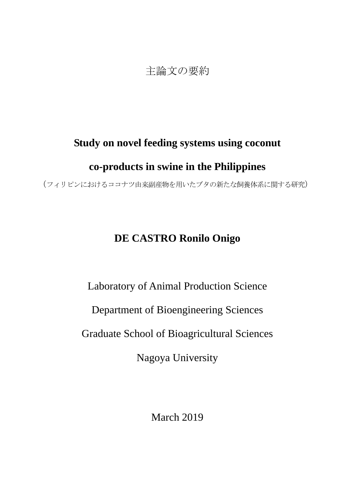## 主論文の要約

## **Study on novel feeding systems using coconut**

## **co-products in swine in the Philippines**

(フィリピンにおけるココナツ由来副産物を用いたブタの新たな飼養体系に関する研究)

## **DE CASTRO Ronilo Onigo**

Laboratory of Animal Production Science

Department of Bioengineering Sciences

Graduate School of Bioagricultural Sciences

Nagoya University

March 2019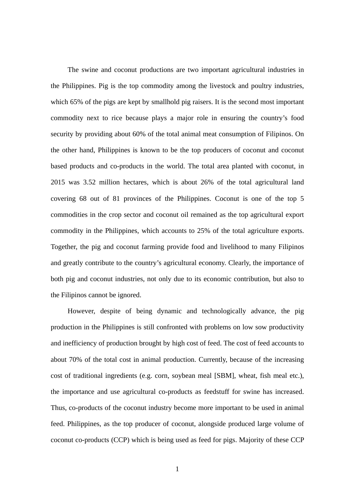The swine and coconut productions are two important agricultural industries in the Philippines. Pig is the top commodity among the livestock and poultry industries, which 65% of the pigs are kept by smallhold pig raisers. It is the second most important commodity next to rice because plays a major role in ensuring the country's food security by providing about 60% of the total animal meat consumption of Filipinos. On the other hand, Philippines is known to be the top producers of coconut and coconut based products and co-products in the world. The total area planted with coconut, in 2015 was 3.52 million hectares, which is about 26% of the total agricultural land covering 68 out of 81 provinces of the Philippines. Coconut is one of the top 5 commodities in the crop sector and coconut oil remained as the top agricultural export commodity in the Philippines, which accounts to 25% of the total agriculture exports. Together, the pig and coconut farming provide food and livelihood to many Filipinos and greatly contribute to the country's agricultural economy. Clearly, the importance of both pig and coconut industries, not only due to its economic contribution, but also to the Filipinos cannot be ignored.

However, despite of being dynamic and technologically advance, the pig production in the Philippines is still confronted with problems on low sow productivity and inefficiency of production brought by high cost of feed. The cost of feed accounts to about 70% of the total cost in animal production. Currently, because of the increasing cost of traditional ingredients (e.g. corn, soybean meal [SBM], wheat, fish meal etc.), the importance and use agricultural co-products as feedstuff for swine has increased. Thus, co-products of the coconut industry become more important to be used in animal feed. Philippines, as the top producer of coconut, alongside produced large volume of coconut co-products (CCP) which is being used as feed for pigs. Majority of these CCP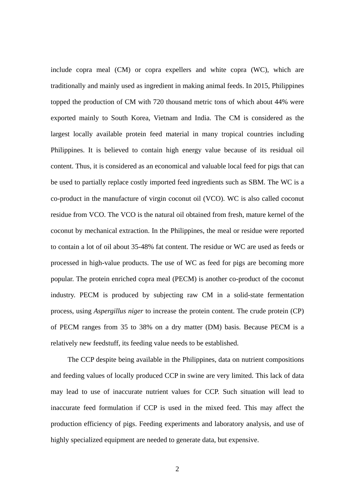include copra meal (CM) or copra expellers and white copra (WC), which are traditionally and mainly used as ingredient in making animal feeds. In 2015, Philippines topped the production of CM with 720 thousand metric tons of which about 44% were exported mainly to South Korea, Vietnam and India. The CM is considered as the largest locally available protein feed material in many tropical countries including Philippines. It is believed to contain high energy value because of its residual oil content. Thus, it is considered as an economical and valuable local feed for pigs that can be used to partially replace costly imported feed ingredients such as SBM. The WC is a co-product in the manufacture of virgin coconut oil (VCO). WC is also called coconut residue from VCO. The VCO is the natural oil obtained from fresh, mature kernel of the coconut by mechanical extraction. In the Philippines, the meal or residue were reported to contain a lot of oil about 35-48% fat content. The residue or WC are used as feeds or processed in high-value products. The use of WC as feed for pigs are becoming more popular. The protein enriched copra meal (PECM) is another co-product of the coconut industry. PECM is produced by subjecting raw CM in a solid-state fermentation process, using *Aspergillus niger* to increase the protein content. The crude protein (CP) of PECM ranges from 35 to 38% on a dry matter (DM) basis. Because PECM is a relatively new feedstuff, its feeding value needs to be established.

The CCP despite being available in the Philippines, data on nutrient compositions and feeding values of locally produced CCP in swine are very limited. This lack of data may lead to use of inaccurate nutrient values for CCP. Such situation will lead to inaccurate feed formulation if CCP is used in the mixed feed. This may affect the production efficiency of pigs. Feeding experiments and laboratory analysis, and use of highly specialized equipment are needed to generate data, but expensive.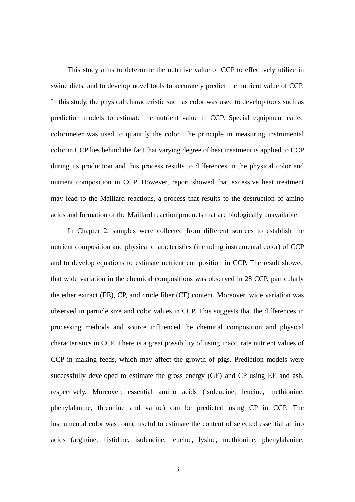This study aims to determine the nutritive value of CCP to effectively utilize in swine diets, and to develop novel tools to accurately predict the nutrient value of CCP. In this study, the physical characteristic such as color was used to develop tools such as prediction models to estimate the nutrient value in CCP. Special equipment called colorimeter was used to quantify the color. The principle in measuring instrumental color in CCP lies behind the fact that varying degree of heat treatment is applied to CCP during its production and this process results to differences in the physical color and nutrient composition in CCP. However, report showed that excessive heat treatment may lead to the Maillard reactions, a process that results to the destruction of amino acids and formation of the Maillard reaction products that are biologically unavailable.

In Chapter 2, samples were collected from different sources to establish the nutrient composition and physical characteristics (including instrumental color) of CCP and to develop equations to estimate nutrient composition in CCP. The result showed that wide variation in the chemical compositions was observed in 28 CCP, particularly the ether extract (EE), CP, and crude fiber (CF) content. Moreover, wide variation was observed in particle size and color values in CCP. This suggests that the differences in processing methods and source influenced the chemical composition and physical characteristics in CCP. There is a great possibility of using inaccurate nutrient values of CCP in making feeds, which may affect the growth of pigs. Prediction models were successfully developed to estimate the gross energy (GE) and CP using EE and ash, respectively. Moreover, essential amino acids (isoleucine, leucine, methionine, phenylalanine, threonine and valine) can be predicted using CP in CCP. The instrumental color was found useful to estimate the content of selected essential amino acids (arginine, histidine, isoleucine, leucine, lysine, methionine, phenylalanine,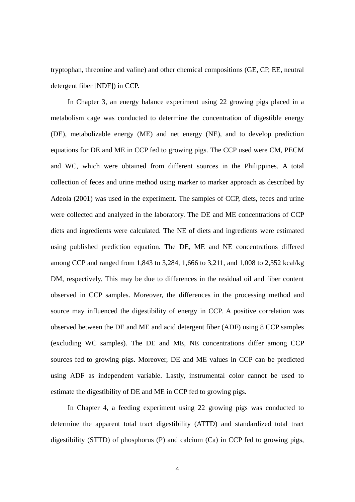tryptophan, threonine and valine) and other chemical compositions (GE, CP, EE, neutral detergent fiber [NDF]) in CCP.

In Chapter 3, an energy balance experiment using 22 growing pigs placed in a metabolism cage was conducted to determine the concentration of digestible energy (DE), metabolizable energy (ME) and net energy (NE), and to develop prediction equations for DE and ME in CCP fed to growing pigs. The CCP used were CM, PECM and WC, which were obtained from different sources in the Philippines. A total collection of feces and urine method using marker to marker approach as described by Adeola (2001) was used in the experiment. The samples of CCP, diets, feces and urine were collected and analyzed in the laboratory. The DE and ME concentrations of CCP diets and ingredients were calculated. The NE of diets and ingredients were estimated using published prediction equation. The DE, ME and NE concentrations differed among CCP and ranged from 1,843 to 3,284, 1,666 to 3,211, and 1,008 to 2,352 kcal/kg DM, respectively. This may be due to differences in the residual oil and fiber content observed in CCP samples. Moreover, the differences in the processing method and source may influenced the digestibility of energy in CCP. A positive correlation was observed between the DE and ME and acid detergent fiber (ADF) using 8 CCP samples (excluding WC samples). The DE and ME, NE concentrations differ among CCP sources fed to growing pigs. Moreover, DE and ME values in CCP can be predicted using ADF as independent variable. Lastly, instrumental color cannot be used to estimate the digestibility of DE and ME in CCP fed to growing pigs.

In Chapter 4, a feeding experiment using 22 growing pigs was conducted to determine the apparent total tract digestibility (ATTD) and standardized total tract digestibility (STTD) of phosphorus (P) and calcium (Ca) in CCP fed to growing pigs,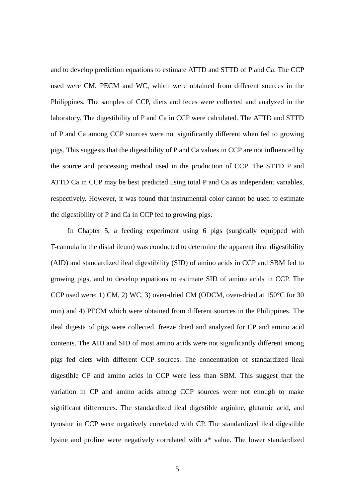and to develop prediction equations to estimate ATTD and STTD of P and Ca. The CCP used were CM, PECM and WC, which were obtained from different sources in the Philippines. The samples of CCP, diets and feces were collected and analyzed in the laboratory. The digestibility of P and Ca in CCP were calculated. The ATTD and STTD of P and Ca among CCP sources were not significantly different when fed to growing pigs. This suggests that the digestibility of P and Ca values in CCP are not influenced by the source and processing method used in the production of CCP. The STTD P and ATTD Ca in CCP may be best predicted using total P and Ca as independent variables, respectively. However, it was found that instrumental color cannot be used to estimate the digestibility of P and Ca in CCP fed to growing pigs.

In Chapter 5, a feeding experiment using 6 pigs (surgically equipped with T-cannula in the distal ileum) was conducted to determine the apparent ileal digestibility (AID) and standardized ileal digestibility (SID) of amino acids in CCP and SBM fed to growing pigs, and to develop equations to estimate SID of amino acids in CCP. The CCP used were: 1) CM, 2) WC, 3) oven-dried CM (ODCM, oven-dried at 150°C for 30 min) and 4) PECM which were obtained from different sources in the Philippines. The ileal digesta of pigs were collected, freeze dried and analyzed for CP and amino acid contents. The AID and SID of most amino acids were not significantly different among pigs fed diets with different CCP sources. The concentration of standardized ileal digestible CP and amino acids in CCP were less than SBM. This suggest that the variation in CP and amino acids among CCP sources were not enough to make significant differences. The standardized ileal digestible arginine, glutamic acid, and tyrosine in CCP were negatively correlated with CP. The standardized ileal digestible lysine and proline were negatively correlated with a\* value. The lower standardized